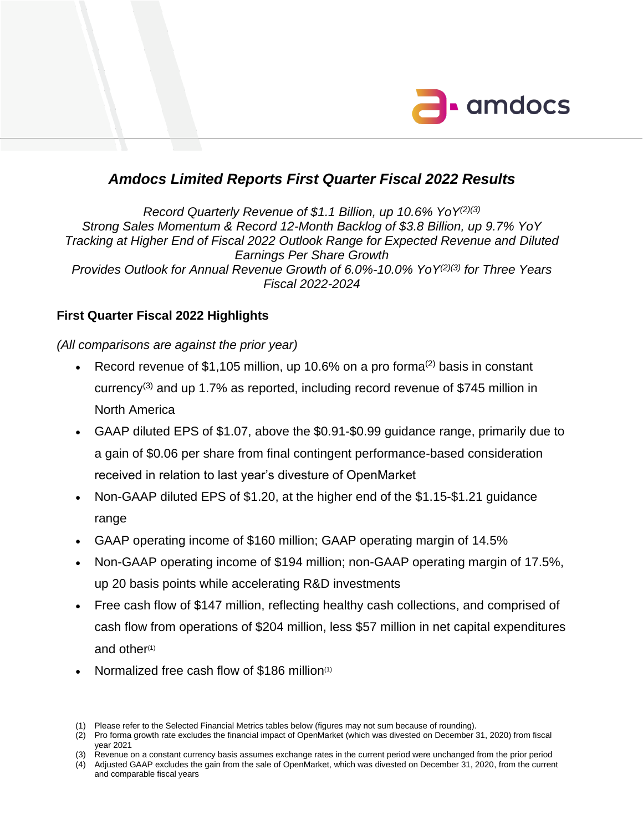

# *Amdocs Limited Reports First Quarter Fiscal 2022 Results*

*Record Quarterly Revenue of \$1.1 Billion, up 10.6% YoY(2)(3) Strong Sales Momentum & Record 12-Month Backlog of \$3.8 Billion, up 9.7% YoY Tracking at Higher End of Fiscal 2022 Outlook Range for Expected Revenue and Diluted Earnings Per Share Growth Provides Outlook for Annual Revenue Growth of 6.0%-10.0% YoY(2)(3) for Three Years Fiscal 2022-2024*

# **First Quarter Fiscal 2022 Highlights**

*(All comparisons are against the prior year)*

- Record revenue of \$1,105 million, up 10.6% on a pro forma<sup>(2)</sup> basis in constant currency<sup>(3)</sup> and up 1.7% as reported, including record revenue of \$745 million in North America
- GAAP diluted EPS of \$1.07, above the \$0.91-\$0.99 guidance range, primarily due to a gain of \$0.06 per share from final contingent performance-based consideration received in relation to last year's divesture of OpenMarket
- Non-GAAP diluted EPS of \$1.20, at the higher end of the \$1.15-\$1.21 guidance range
- GAAP operating income of \$160 million; GAAP operating margin of 14.5%
- Non-GAAP operating income of \$194 million; non-GAAP operating margin of 17.5%, up 20 basis points while accelerating R&D investments
- Free cash flow of \$147 million, reflecting healthy cash collections, and comprised of cash flow from operations of \$204 million, less \$57 million in net capital expenditures and other $(1)$
- **Normalized free cash flow of \$186 million**<sup>(1)</sup>

(3) Revenue on a constant currency basis assumes exchange rates in the current period were unchanged from the prior period (4) Adjusted GAAP excludes the gain from the sale of OpenMarket, which was divested on December 31, 2020, from the current and comparable fiscal years

<sup>(1)</sup> Please refer to the Selected Financial Metrics tables below (figures may not sum because of rounding).

<sup>(2)</sup> Pro forma growth rate excludes the financial impact of OpenMarket (which was divested on December 31, 2020) from fiscal year 2021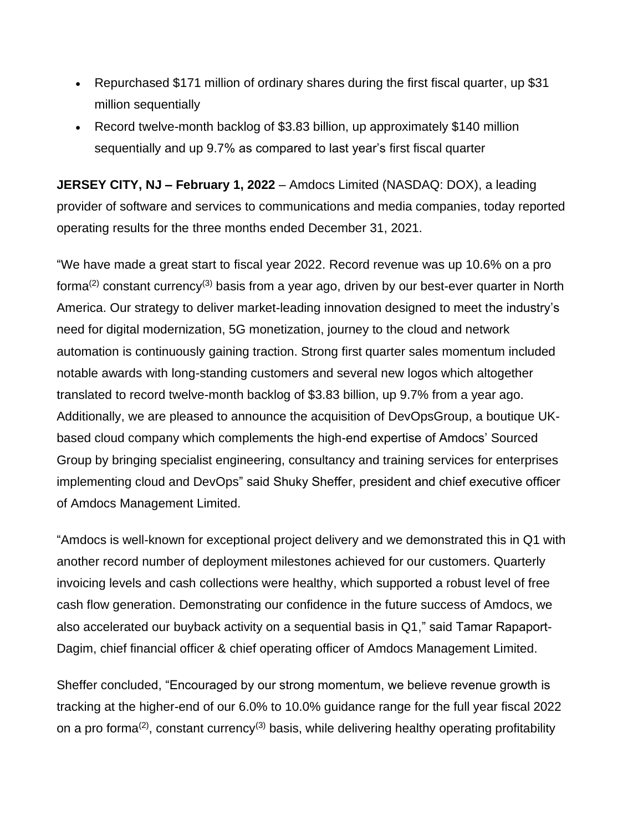- Repurchased \$171 million of ordinary shares during the first fiscal quarter, up \$31 million sequentially
- Record twelve-month backlog of \$3.83 billion, up approximately \$140 million sequentially and up 9.7% as compared to last year's first fiscal quarter

**JERSEY CITY, NJ – February 1, 2022** – Amdocs Limited (NASDAQ: DOX), a leading provider of software and services to communications and media companies, today reported operating results for the three months ended December 31, 2021.

"We have made a great start to fiscal year 2022. Record revenue was up 10.6% on a pro forma(2) constant currency(3) basis from a year ago, driven by our best-ever quarter in North America. Our strategy to deliver market-leading innovation designed to meet the industry's need for digital modernization, 5G monetization, journey to the cloud and network automation is continuously gaining traction. Strong first quarter sales momentum included notable awards with long-standing customers and several new logos which altogether translated to record twelve-month backlog of \$3.83 billion, up 9.7% from a year ago. Additionally, we are pleased to announce the acquisition of DevOpsGroup, a boutique UKbased cloud company which complements the high-end expertise of Amdocs' Sourced Group by bringing specialist engineering, consultancy and training services for enterprises implementing cloud and DevOps" said Shuky Sheffer, president and chief executive officer of Amdocs Management Limited.

"Amdocs is well-known for exceptional project delivery and we demonstrated this in Q1 with another record number of deployment milestones achieved for our customers. Quarterly invoicing levels and cash collections were healthy, which supported a robust level of free cash flow generation. Demonstrating our confidence in the future success of Amdocs, we also accelerated our buyback activity on a sequential basis in Q1," said Tamar Rapaport-Dagim, chief financial officer & chief operating officer of Amdocs Management Limited.

Sheffer concluded, "Encouraged by our strong momentum, we believe revenue growth is tracking at the higher-end of our 6.0% to 10.0% guidance range for the full year fiscal 2022 on a pro forma<sup>(2)</sup>, constant currency<sup>(3)</sup> basis, while delivering healthy operating profitability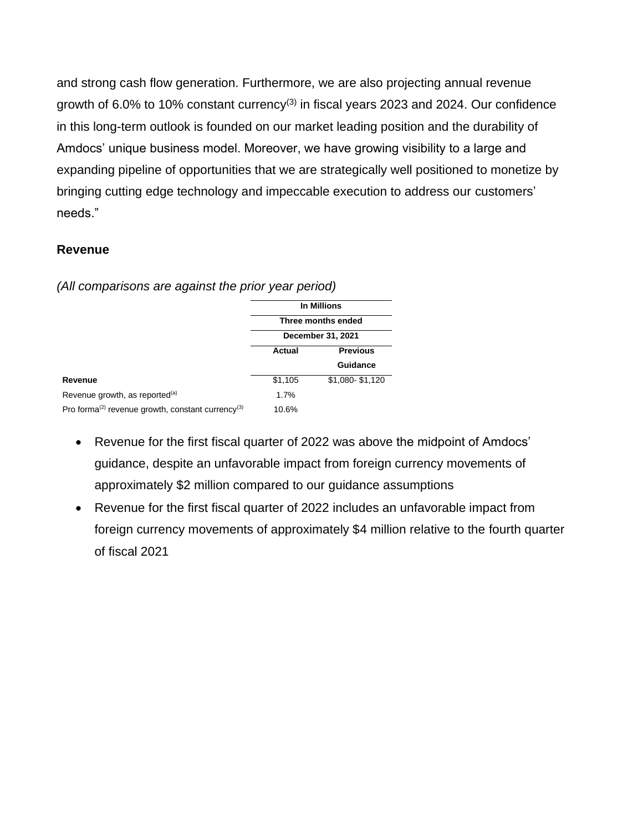and strong cash flow generation. Furthermore, we are also projecting annual revenue growth of  $6.0\%$  to 10% constant currency<sup>(3)</sup> in fiscal years 2023 and 2024. Our confidence in this long-term outlook is founded on our market leading position and the durability of Amdocs' unique business model. Moreover, we have growing visibility to a large and expanding pipeline of opportunities that we are strategically well positioned to monetize by bringing cutting edge technology and impeccable execution to address our customers' needs."

# **Revenue**

*(All comparisons are against the prior year period)*

|                                                                           | In Millions       |                    |  |  |  |  |  |  |  |
|---------------------------------------------------------------------------|-------------------|--------------------|--|--|--|--|--|--|--|
|                                                                           |                   | Three months ended |  |  |  |  |  |  |  |
|                                                                           | December 31, 2021 |                    |  |  |  |  |  |  |  |
|                                                                           | Actual            | <b>Previous</b>    |  |  |  |  |  |  |  |
|                                                                           |                   | Guidance           |  |  |  |  |  |  |  |
| Revenue                                                                   | \$1,105           | \$1,080-\$1,120    |  |  |  |  |  |  |  |
| Revenue growth, as reported <sup>(a)</sup>                                | 1.7%              |                    |  |  |  |  |  |  |  |
| Pro forma <sup>(2)</sup> revenue growth, constant currency <sup>(3)</sup> | 10.6%             |                    |  |  |  |  |  |  |  |

- Revenue for the first fiscal quarter of 2022 was above the midpoint of Amdocs' guidance, despite an unfavorable impact from foreign currency movements of approximately \$2 million compared to our guidance assumptions
- Revenue for the first fiscal quarter of 2022 includes an unfavorable impact from foreign currency movements of approximately \$4 million relative to the fourth quarter of fiscal 2021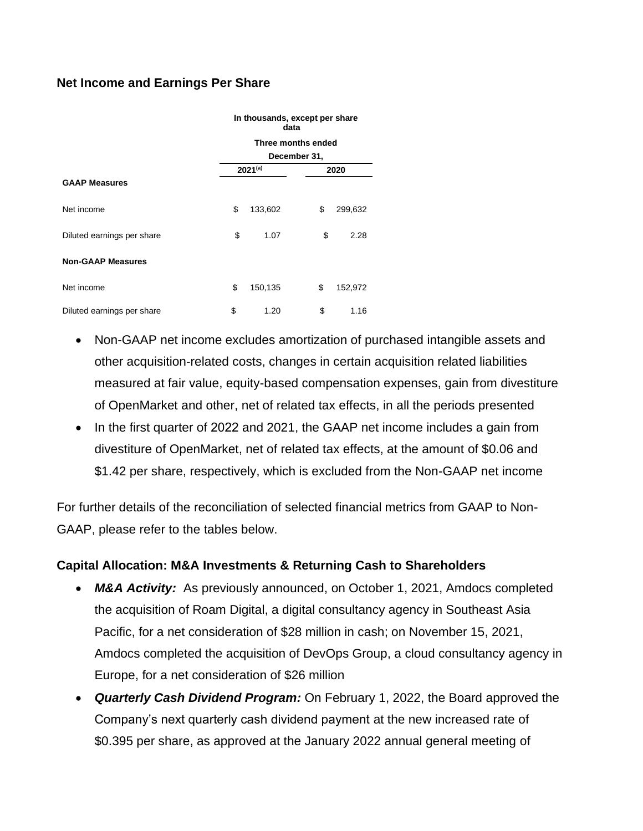# **Net Income and Earnings Per Share**

|                            |                                      | data               | In thousands, except per share |         |  |  |  |  |  |  |  |  |
|----------------------------|--------------------------------------|--------------------|--------------------------------|---------|--|--|--|--|--|--|--|--|
|                            |                                      | Three months ended |                                |         |  |  |  |  |  |  |  |  |
|                            | December 31,<br>$2021^{(a)}$<br>2020 |                    |                                |         |  |  |  |  |  |  |  |  |
| <b>GAAP Measures</b>       |                                      |                    |                                |         |  |  |  |  |  |  |  |  |
| Net income                 | \$                                   | 133,602            | \$                             | 299,632 |  |  |  |  |  |  |  |  |
| Diluted earnings per share | \$                                   | 1.07               | \$                             | 2.28    |  |  |  |  |  |  |  |  |
| <b>Non-GAAP Measures</b>   |                                      |                    |                                |         |  |  |  |  |  |  |  |  |
| Net income                 | \$                                   | 150,135            | \$                             | 152,972 |  |  |  |  |  |  |  |  |
| Diluted earnings per share | \$                                   | 1.20               | \$                             | 1.16    |  |  |  |  |  |  |  |  |

- Non-GAAP net income excludes amortization of purchased intangible assets and other acquisition-related costs, changes in certain acquisition related liabilities measured at fair value, equity-based compensation expenses, gain from divestiture of OpenMarket and other, net of related tax effects, in all the periods presented
- In the first quarter of 2022 and 2021, the GAAP net income includes a gain from divestiture of OpenMarket, net of related tax effects, at the amount of \$0.06 and \$1.42 per share, respectively, which is excluded from the Non-GAAP net income

For further details of the reconciliation of selected financial metrics from GAAP to Non-GAAP, please refer to the tables below.

### **Capital Allocation: M&A Investments & Returning Cash to Shareholders**

- *M&A Activity:* As previously announced, on October 1, 2021, Amdocs completed the acquisition of Roam Digital, a digital consultancy agency in Southeast Asia Pacific, for a net consideration of \$28 million in cash; on November 15, 2021, Amdocs completed the acquisition of DevOps Group, a cloud consultancy agency in Europe, for a net consideration of \$26 million
- *Quarterly Cash Dividend Program:* On February 1, 2022, the Board approved the Company's next quarterly cash dividend payment at the new increased rate of \$0.395 per share, as approved at the January 2022 annual general meeting of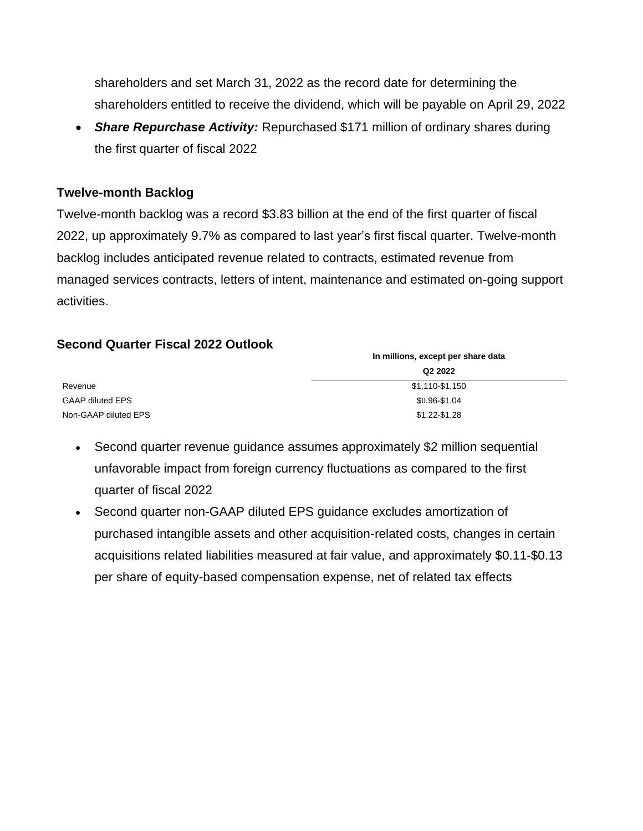shareholders and set March 31, 2022 as the record date for determining the shareholders entitled to receive the dividend, which will be payable on April 29, 2022

• *Share Repurchase Activity:* Repurchased \$171 million of ordinary shares during the first quarter of fiscal 2022

# **Twelve-month Backlog**

Twelve-month backlog was a record \$3.83 billion at the end of the first quarter of fiscal 2022, up approximately 9.7% as compared to last year's first fiscal quarter. Twelve-month backlog includes anticipated revenue related to contracts, estimated revenue from managed services contracts, letters of intent, maintenance and estimated on-going support activities.

# **Second Quarter Fiscal 2022 Outlook**

|                         | In millions, except per share data |
|-------------------------|------------------------------------|
|                         | Q2 2022                            |
| Revenue                 | \$1,110-\$1,150                    |
| <b>GAAP diluted EPS</b> | $$0.96 - $1.04$                    |
| Non-GAAP diluted EPS    | \$1.22-\$1.28                      |

- Second quarter revenue guidance assumes approximately \$2 million sequential unfavorable impact from foreign currency fluctuations as compared to the first quarter of fiscal 2022
- Second quarter non-GAAP diluted EPS guidance excludes amortization of purchased intangible assets and other acquisition-related costs, changes in certain acquisitions related liabilities measured at fair value, and approximately \$0.11-\$0.13 per share of equity-based compensation expense, net of related tax effects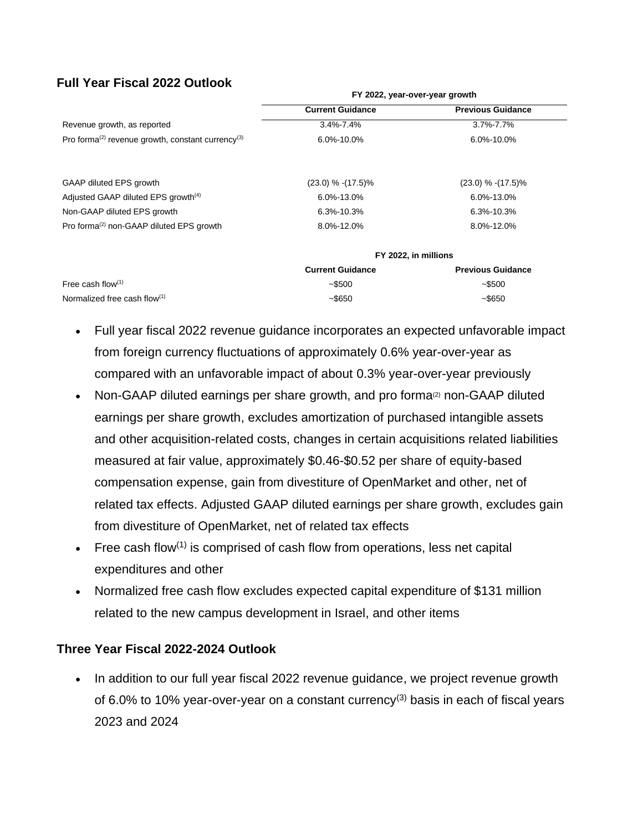# **Full Year Fiscal 2022 Outlook**

|                                                                           | FY 2022, year-over-year growth |                          |
|---------------------------------------------------------------------------|--------------------------------|--------------------------|
|                                                                           | <b>Current Guidance</b>        | <b>Previous Guidance</b> |
| Revenue growth, as reported                                               | $3.4\% - 7.4\%$                | 3.7%-7.7%                |
| Pro forma <sup>(2)</sup> revenue growth, constant currency <sup>(3)</sup> | 6.0%-10.0%                     | 6.0%-10.0%               |
|                                                                           |                                |                          |
| GAAP diluted EPS growth                                                   | $(23.0)$ % $-(17.5)$ %         | $(23.0)$ % $-(17.5)$ %   |
| Adjusted GAAP diluted EPS growth <sup>(4)</sup>                           | 6.0%-13.0%                     | 6.0%-13.0%               |
| Non-GAAP diluted EPS growth                                               | 6.3%-10.3%                     | 6.3%-10.3%               |
| Pro forma <sup>(2)</sup> non-GAAP diluted EPS growth                      | 8.0%-12.0%                     | 8.0%-12.0%               |
|                                                                           | FY 2022, in millions           |                          |
|                                                                           | <b>Current Guidance</b>        | <b>Previous Guidance</b> |
| Free cash flow $(1)$                                                      | $-$ \$500                      | $-$ \$500                |
| Normalized free cash flow $(1)$                                           | $-$ \$650                      | $-$ \$650                |

- Full year fiscal 2022 revenue guidance incorporates an expected unfavorable impact from foreign currency fluctuations of approximately 0.6% year-over-year as compared with an unfavorable impact of about 0.3% year-over-year previously
- Non-GAAP diluted earnings per share growth, and pro forma<sup>(2)</sup> non-GAAP diluted earnings per share growth, excludes amortization of purchased intangible assets and other acquisition-related costs, changes in certain acquisitions related liabilities measured at fair value, approximately \$0.46-\$0.52 per share of equity-based compensation expense, gain from divestiture of OpenMarket and other, net of related tax effects. Adjusted GAAP diluted earnings per share growth, excludes gain from divestiture of OpenMarket, net of related tax effects
- Free cash flow<sup>(1)</sup> is comprised of cash flow from operations, less net capital expenditures and other
- Normalized free cash flow excludes expected capital expenditure of \$131 million related to the new campus development in Israel, and other items

### **Three Year Fiscal 2022-2024 Outlook**

• In addition to our full year fiscal 2022 revenue guidance, we project revenue growth of 6.0% to 10% year-over-year on a constant currency<sup>(3)</sup> basis in each of fiscal years 2023 and 2024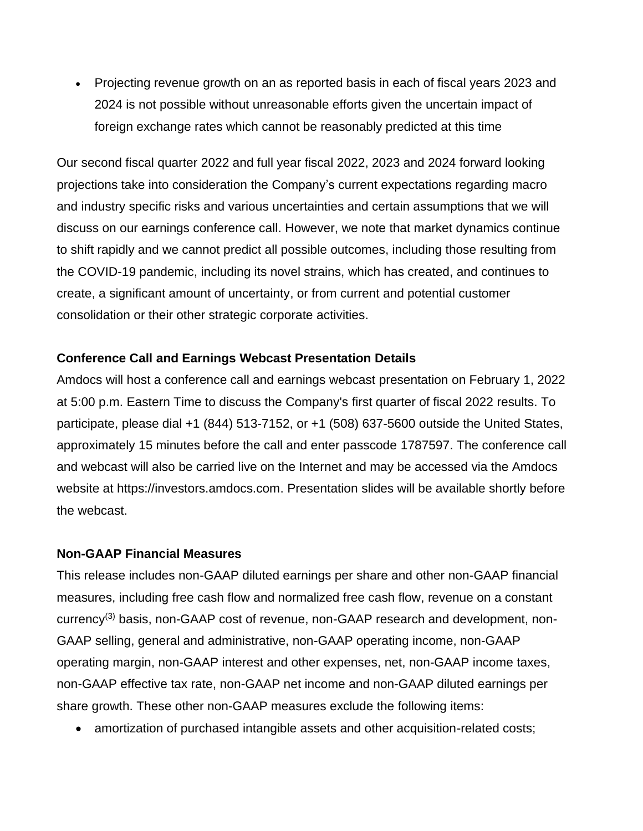• Projecting revenue growth on an as reported basis in each of fiscal years 2023 and 2024 is not possible without unreasonable efforts given the uncertain impact of foreign exchange rates which cannot be reasonably predicted at this time

Our second fiscal quarter 2022 and full year fiscal 2022, 2023 and 2024 forward looking projections take into consideration the Company's current expectations regarding macro and industry specific risks and various uncertainties and certain assumptions that we will discuss on our earnings conference call. However, we note that market dynamics continue to shift rapidly and we cannot predict all possible outcomes, including those resulting from the COVID-19 pandemic, including its novel strains, which has created, and continues to create, a significant amount of uncertainty, or from current and potential customer consolidation or their other strategic corporate activities.

# **Conference Call and Earnings Webcast Presentation Details**

Amdocs will host a conference call and earnings webcast presentation on February 1, 2022 at 5:00 p.m. Eastern Time to discuss the Company's first quarter of fiscal 2022 results. To participate, please dial +1 (844) 513-7152, or +1 (508) 637-5600 outside the United States, approximately 15 minutes before the call and enter passcode 1787597. The conference call and webcast will also be carried live on the Internet and may be accessed via the Amdocs website at https://investors.amdocs.com. Presentation slides will be available shortly before the webcast.

### **Non-GAAP Financial Measures**

This release includes non-GAAP diluted earnings per share and other non-GAAP financial measures, including free cash flow and normalized free cash flow, revenue on a constant currency(3) basis, non-GAAP cost of revenue, non-GAAP research and development, non-GAAP selling, general and administrative, non-GAAP operating income, non-GAAP operating margin, non-GAAP interest and other expenses, net, non-GAAP income taxes, non-GAAP effective tax rate, non-GAAP net income and non-GAAP diluted earnings per share growth. These other non-GAAP measures exclude the following items:

• amortization of purchased intangible assets and other acquisition-related costs;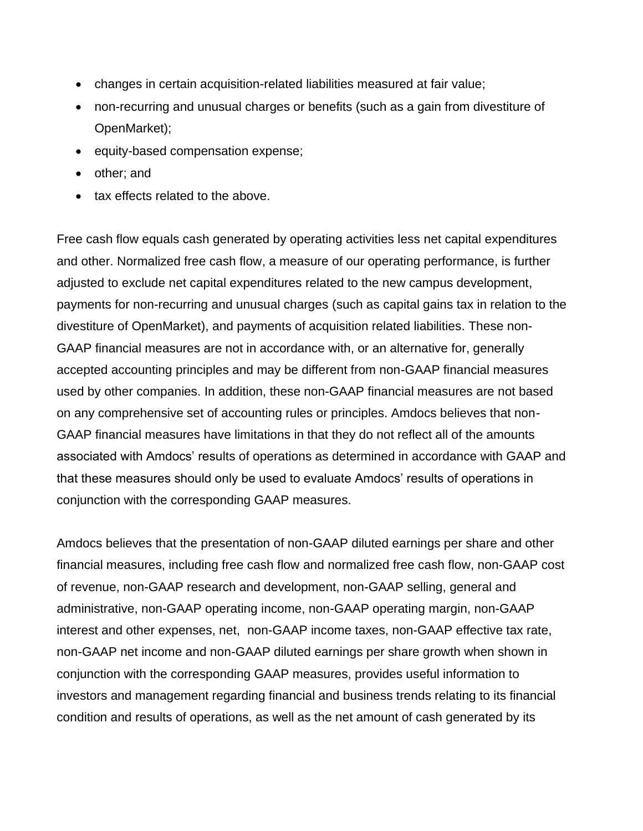- changes in certain acquisition-related liabilities measured at fair value;
- non-recurring and unusual charges or benefits (such as a gain from divestiture of OpenMarket);
- equity-based compensation expense;
- other; and
- tax effects related to the above.

Free cash flow equals cash generated by operating activities less net capital expenditures and other. Normalized free cash flow, a measure of our operating performance, is further adjusted to exclude net capital expenditures related to the new campus development, payments for non-recurring and unusual charges (such as capital gains tax in relation to the divestiture of OpenMarket), and payments of acquisition related liabilities. These non-GAAP financial measures are not in accordance with, or an alternative for, generally accepted accounting principles and may be different from non-GAAP financial measures used by other companies. In addition, these non-GAAP financial measures are not based on any comprehensive set of accounting rules or principles. Amdocs believes that non-GAAP financial measures have limitations in that they do not reflect all of the amounts associated with Amdocs' results of operations as determined in accordance with GAAP and that these measures should only be used to evaluate Amdocs' results of operations in conjunction with the corresponding GAAP measures.

Amdocs believes that the presentation of non-GAAP diluted earnings per share and other financial measures, including free cash flow and normalized free cash flow, non-GAAP cost of revenue, non-GAAP research and development, non-GAAP selling, general and administrative, non-GAAP operating income, non-GAAP operating margin, non-GAAP interest and other expenses, net, non-GAAP income taxes, non-GAAP effective tax rate, non-GAAP net income and non-GAAP diluted earnings per share growth when shown in conjunction with the corresponding GAAP measures, provides useful information to investors and management regarding financial and business trends relating to its financial condition and results of operations, as well as the net amount of cash generated by its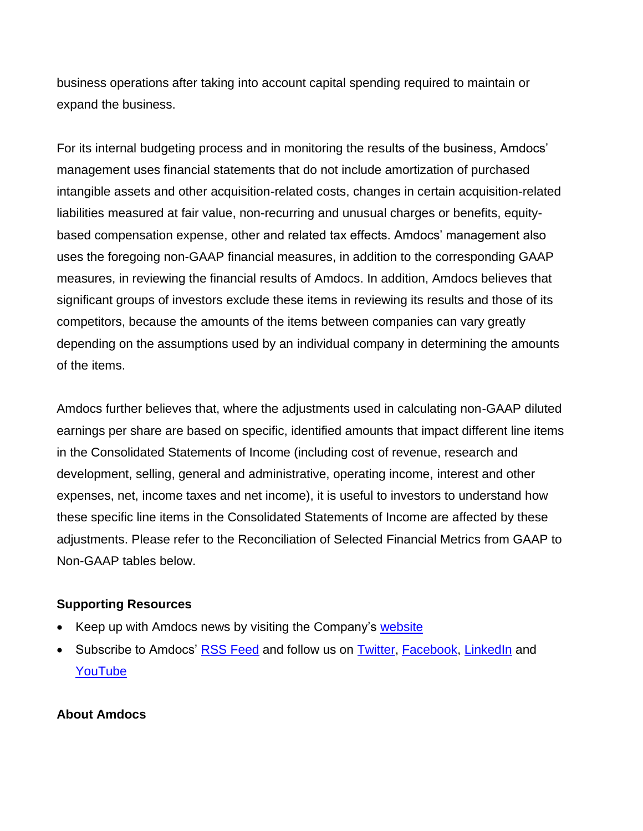business operations after taking into account capital spending required to maintain or expand the business.

For its internal budgeting process and in monitoring the results of the business, Amdocs' management uses financial statements that do not include amortization of purchased intangible assets and other acquisition-related costs, changes in certain acquisition-related liabilities measured at fair value, non-recurring and unusual charges or benefits, equitybased compensation expense, other and related tax effects. Amdocs' management also uses the foregoing non-GAAP financial measures, in addition to the corresponding GAAP measures, in reviewing the financial results of Amdocs. In addition, Amdocs believes that significant groups of investors exclude these items in reviewing its results and those of its competitors, because the amounts of the items between companies can vary greatly depending on the assumptions used by an individual company in determining the amounts of the items.

Amdocs further believes that, where the adjustments used in calculating non-GAAP diluted earnings per share are based on specific, identified amounts that impact different line items in the Consolidated Statements of Income (including cost of revenue, research and development, selling, general and administrative, operating income, interest and other expenses, net, income taxes and net income), it is useful to investors to understand how these specific line items in the Consolidated Statements of Income are affected by these adjustments. Please refer to the Reconciliation of Selected Financial Metrics from GAAP to Non-GAAP tables below.

### **Supporting Resources**

- Keep up with Amdocs news by visiting the Company's [website](http://www.amdocs.com/Pages/HomePage.aspx)
- Subscribe to Amdocs' [RSS Feed](http://phx.corporate-ir.net/phoenix.zhtml?c=113915&p=rssSubscription&t=&id=&) and follow us on [Twitter,](http://twitter.com/Amdocs) [Facebook,](http://www.facebook.com/amdocs/) [LinkedIn](http://www.linkedin.com/company/amdocs) and [YouTube](http://www.youtube.com/amdocs)

### **About Amdocs**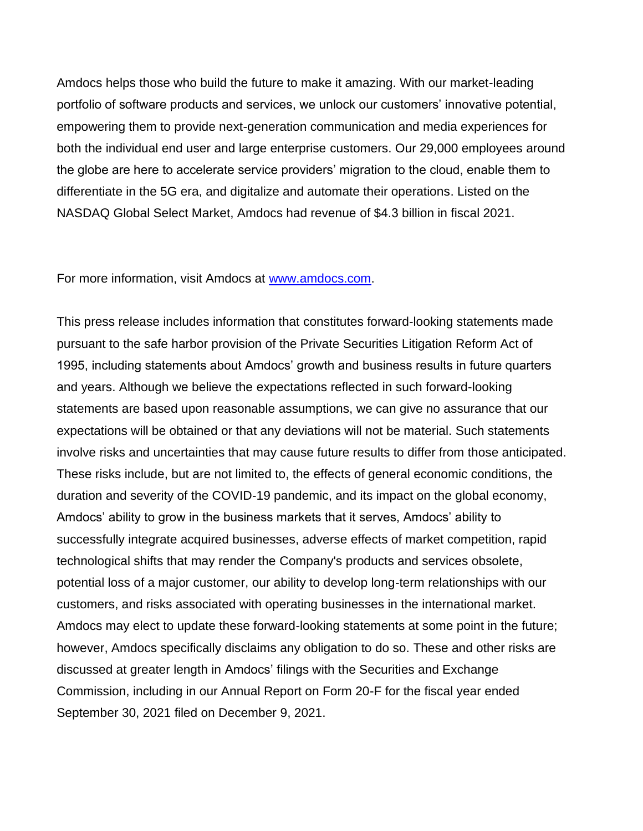Amdocs helps those who build the future to make it amazing. With our market-leading portfolio of software products and services, we unlock our customers' innovative potential, empowering them to provide next-generation communication and media experiences for both the individual end user and large enterprise customers. Our 29,000 employees around the globe are here to accelerate service providers' migration to the cloud, enable them to differentiate in the 5G era, and digitalize and automate their operations. Listed on the NASDAQ Global Select Market, Amdocs had revenue of \$4.3 billion in fiscal 2021.

For more information, visit Amdocs at [www.amdocs.com.](http://www.amdocs.com/)

This press release includes information that constitutes forward-looking statements made pursuant to the safe harbor provision of the Private Securities Litigation Reform Act of 1995, including statements about Amdocs' growth and business results in future quarters and years. Although we believe the expectations reflected in such forward-looking statements are based upon reasonable assumptions, we can give no assurance that our expectations will be obtained or that any deviations will not be material. Such statements involve risks and uncertainties that may cause future results to differ from those anticipated. These risks include, but are not limited to, the effects of general economic conditions, the duration and severity of the COVID-19 pandemic, and its impact on the global economy, Amdocs' ability to grow in the business markets that it serves, Amdocs' ability to successfully integrate acquired businesses, adverse effects of market competition, rapid technological shifts that may render the Company's products and services obsolete, potential loss of a major customer, our ability to develop long-term relationships with our customers, and risks associated with operating businesses in the international market. Amdocs may elect to update these forward-looking statements at some point in the future; however, Amdocs specifically disclaims any obligation to do so. These and other risks are discussed at greater length in Amdocs' filings with the Securities and Exchange Commission, including in our Annual Report on Form 20-F for the fiscal year ended September 30, 2021 filed on December 9, 2021.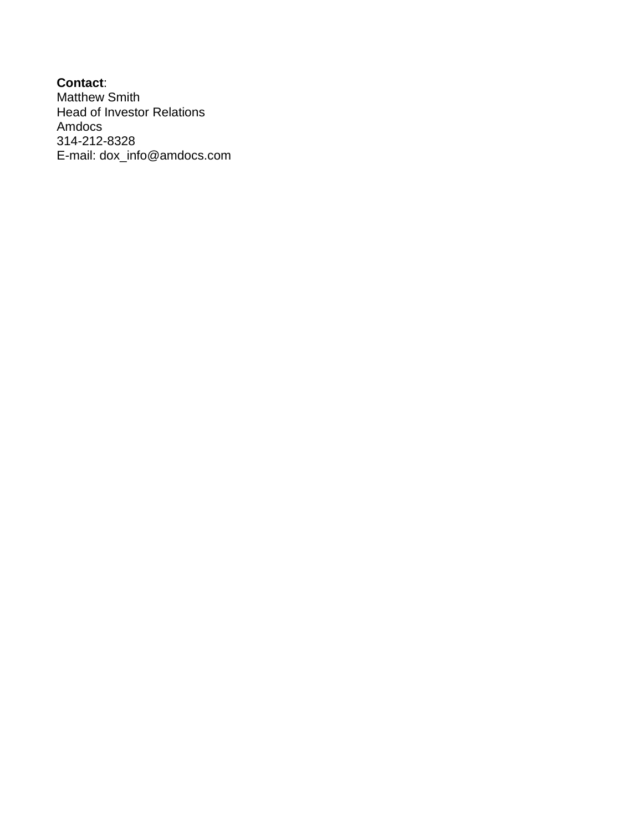**Contact**: Matthew Smith Head of Investor Relations Amdocs 314-212-8328 E-mail: [dox\\_info@amdocs.com](mailto:dox_info@amdocs.com)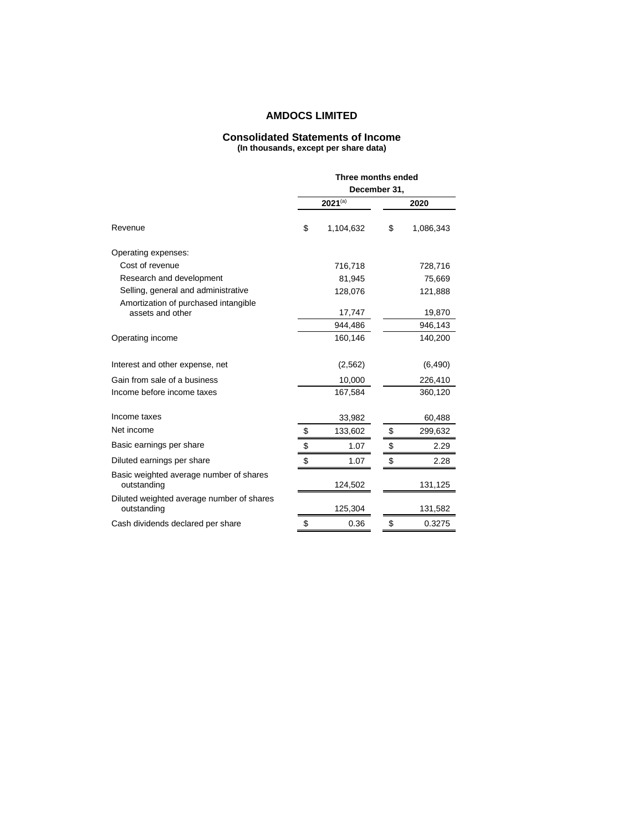### **AMDOCS LIMITED**

#### **Consolidated Statements of Income (In thousands, except per share data)**

|                                                          |              | Three months ended |    |           |  |  |  |  |  |  |
|----------------------------------------------------------|--------------|--------------------|----|-----------|--|--|--|--|--|--|
|                                                          | December 31, |                    |    |           |  |  |  |  |  |  |
|                                                          |              | $2021^{(a)}$       |    | 2020      |  |  |  |  |  |  |
| Revenue                                                  | \$           | 1,104,632          | \$ | 1,086,343 |  |  |  |  |  |  |
| Operating expenses:                                      |              |                    |    |           |  |  |  |  |  |  |
| Cost of revenue                                          |              | 716,718            |    | 728,716   |  |  |  |  |  |  |
| Research and development                                 |              | 81,945             |    | 75,669    |  |  |  |  |  |  |
| Selling, general and administrative                      |              | 128,076            |    | 121,888   |  |  |  |  |  |  |
| Amortization of purchased intangible<br>assets and other |              | 17,747             |    | 19,870    |  |  |  |  |  |  |
|                                                          |              | 944,486            |    | 946,143   |  |  |  |  |  |  |
| Operating income                                         |              | 160,146            |    | 140,200   |  |  |  |  |  |  |
| Interest and other expense, net                          |              | (2, 562)           |    | (6, 490)  |  |  |  |  |  |  |
| Gain from sale of a business                             |              | 10,000             |    | 226,410   |  |  |  |  |  |  |
| Income before income taxes                               |              | 167,584            |    | 360,120   |  |  |  |  |  |  |
| Income taxes                                             |              | 33,982             |    | 60,488    |  |  |  |  |  |  |
| Net income                                               | \$           | 133,602            | \$ | 299,632   |  |  |  |  |  |  |
| Basic earnings per share                                 | \$           | 1.07               | \$ | 2.29      |  |  |  |  |  |  |
| Diluted earnings per share                               | \$           | 1.07               | \$ | 2.28      |  |  |  |  |  |  |
| Basic weighted average number of shares<br>outstanding   |              | 124,502            |    | 131,125   |  |  |  |  |  |  |
| Diluted weighted average number of shares<br>outstanding |              | 125,304            |    | 131,582   |  |  |  |  |  |  |
| Cash dividends declared per share                        | \$           | 0.36               | \$ | 0.3275    |  |  |  |  |  |  |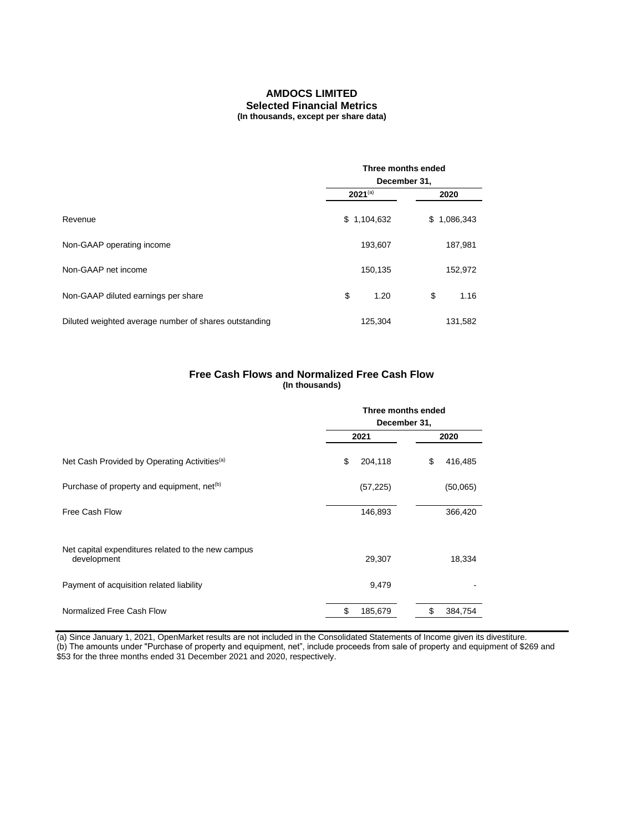#### **AMDOCS LIMITED Selected Financial Metrics (In thousands, except per share data)**

|                                                       | Three months ended<br>December 31, |             |  |  |  |  |  |  |  |
|-------------------------------------------------------|------------------------------------|-------------|--|--|--|--|--|--|--|
|                                                       | $2021^{(a)}$                       | 2020        |  |  |  |  |  |  |  |
| Revenue                                               | \$1,104,632                        | \$1,086,343 |  |  |  |  |  |  |  |
| Non-GAAP operating income                             | 193,607                            | 187,981     |  |  |  |  |  |  |  |
| Non-GAAP net income                                   | 150,135                            | 152,972     |  |  |  |  |  |  |  |
| Non-GAAP diluted earnings per share                   | \$<br>1.20                         | \$<br>1.16  |  |  |  |  |  |  |  |
| Diluted weighted average number of shares outstanding | 125,304                            | 131,582     |  |  |  |  |  |  |  |

#### **Free Cash Flows and Normalized Free Cash Flow (In thousands)**

|                                                                   | Three months ended<br>December 31, |               |  |  |  |  |  |  |
|-------------------------------------------------------------------|------------------------------------|---------------|--|--|--|--|--|--|
|                                                                   | 2021                               | 2020          |  |  |  |  |  |  |
| Net Cash Provided by Operating Activities <sup>(a)</sup>          | \$<br>204,118                      | 416,485<br>\$ |  |  |  |  |  |  |
| Purchase of property and equipment, net <sup>(b)</sup>            | (57, 225)                          | (50,065)      |  |  |  |  |  |  |
| Free Cash Flow                                                    | 146,893                            | 366,420       |  |  |  |  |  |  |
| Net capital expenditures related to the new campus<br>development | 29,307                             | 18,334        |  |  |  |  |  |  |
| Payment of acquisition related liability                          | 9,479                              |               |  |  |  |  |  |  |
| Normalized Free Cash Flow                                         | \$<br>185,679                      | \$<br>384,754 |  |  |  |  |  |  |

(a) Since January 1, 2021, OpenMarket results are not included in the Consolidated Statements of Income given its divestiture. (b) The amounts under "Purchase of property and equipment, net", include proceeds from sale of property and equipment of \$269 and \$53 for the three months ended 31 December 2021 and 2020, respectively.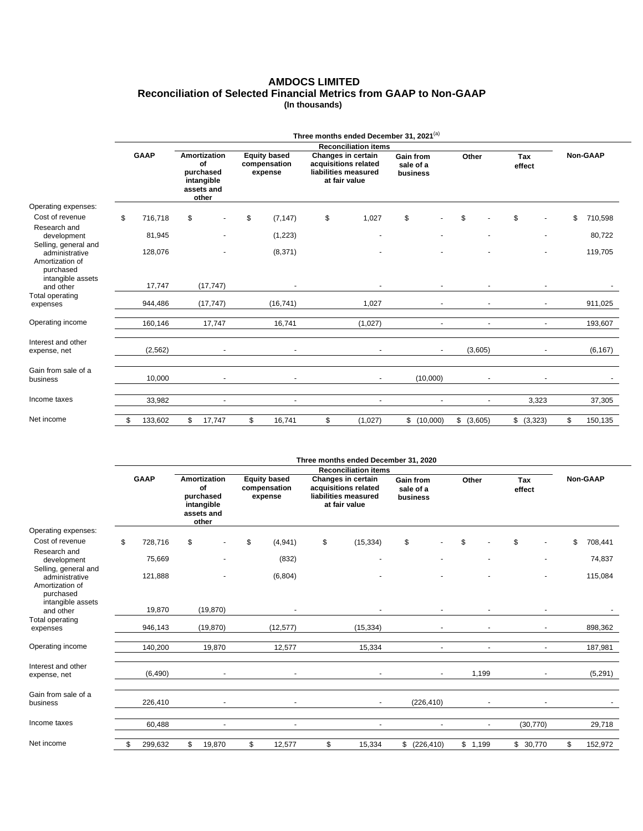### **AMDOCS LIMITED Reconciliation of Selected Financial Metrics from GAAP to Non-GAAP (In thousands)**

|                                                                     |             | Three months ended December 31, 2021 <sup>(a)</sup> |    |                                                                      |    |                                         |    |                                                                                     |                                           |                      |       |                |               |       |               |  |
|---------------------------------------------------------------------|-------------|-----------------------------------------------------|----|----------------------------------------------------------------------|----|-----------------------------------------|----|-------------------------------------------------------------------------------------|-------------------------------------------|----------------------|-------|----------------|---------------|-------|---------------|--|
|                                                                     |             |                                                     |    |                                                                      |    |                                         |    | <b>Reconciliation items</b>                                                         |                                           |                      |       |                |               |       |               |  |
|                                                                     | <b>GAAP</b> |                                                     |    | Amortization<br>of<br>purchased<br>intangible<br>assets and<br>other |    | Equity based<br>compensation<br>expense |    | Changes in certain<br>acquisitions related<br>liabilities measured<br>at fair value | <b>Gain from</b><br>sale of a<br>business |                      | Other |                | Tax<br>effect |       | Non-GAAP      |  |
| Operating expenses:                                                 |             |                                                     |    |                                                                      |    |                                         |    |                                                                                     |                                           |                      |       |                |               |       |               |  |
| Cost of revenue                                                     | \$          | 716,718                                             | \$ |                                                                      | \$ | (7, 147)                                | \$ | 1,027                                                                               | \$                                        |                      | \$    |                | \$            |       | \$<br>710,598 |  |
| Research and<br>development<br>Selling, general and                 |             | 81,945                                              |    |                                                                      |    | (1, 223)                                |    |                                                                                     |                                           |                      |       |                |               |       | 80,722        |  |
| administrative<br>Amortization of<br>purchased<br>intangible assets |             | 128,076                                             |    | ٠                                                                    |    | (8, 371)                                |    |                                                                                     |                                           |                      |       |                |               | ٠     | 119,705       |  |
| and other                                                           |             | 17,747                                              |    | (17, 747)                                                            |    |                                         |    |                                                                                     |                                           |                      |       |                |               |       |               |  |
| Total operating<br>expenses                                         |             | 944,486                                             |    | (17, 747)                                                            |    | (16, 741)                               |    | 1,027                                                                               |                                           | $\sim$               |       |                |               |       | 911,025       |  |
| Operating income                                                    |             | 160,146                                             |    | 17,747                                                               |    | 16,741                                  |    | (1,027)                                                                             |                                           | $\ddot{\phantom{1}}$ |       | $\blacksquare$ |               | ٠     | 193,607       |  |
| Interest and other<br>expense, net                                  |             | (2, 562)                                            |    | ٠                                                                    |    | $\ddot{\phantom{1}}$                    |    |                                                                                     |                                           | $\sim$               |       | (3,605)        |               | ٠     | (6, 167)      |  |
| Gain from sale of a<br>business                                     |             | 10,000                                              |    | ٠                                                                    |    | ٠                                       |    | $\overline{\phantom{a}}$                                                            |                                           | (10,000)             |       | ٠              |               | ÷     |               |  |
| Income taxes                                                        |             | 33,982                                              |    | ä,                                                                   |    | ÷                                       |    | $\overline{\phantom{a}}$                                                            |                                           |                      |       | $\blacksquare$ |               | 3,323 | 37,305        |  |
| Net income                                                          | \$          | 133,602                                             | \$ | 17,747                                                               | \$ | 16,741                                  | \$ | (1,027)                                                                             | \$                                        | (10,000)             | \$    | (3,605)        | \$ (3,323)    |       | \$<br>150,135 |  |

|                                                                     |             | Three months ended December 31, 2020 |    |                                                                      |    |                                                |    |                                                                                     |                                    |                |         |                |               |                |               |
|---------------------------------------------------------------------|-------------|--------------------------------------|----|----------------------------------------------------------------------|----|------------------------------------------------|----|-------------------------------------------------------------------------------------|------------------------------------|----------------|---------|----------------|---------------|----------------|---------------|
|                                                                     |             |                                      |    |                                                                      |    |                                                |    | <b>Reconciliation items</b>                                                         |                                    |                |         |                |               |                |               |
|                                                                     | <b>GAAP</b> |                                      |    | Amortization<br>of<br>purchased<br>intangible<br>assets and<br>other |    | <b>Equity based</b><br>compensation<br>expense |    | Changes in certain<br>acquisitions related<br>liabilities measured<br>at fair value | Gain from<br>sale of a<br>business |                | Other   |                | Tax<br>effect |                | Non-GAAP      |
| Operating expenses:                                                 |             |                                      |    |                                                                      |    |                                                |    |                                                                                     |                                    |                |         |                |               |                |               |
| Cost of revenue                                                     | \$          | 728,716                              | \$ |                                                                      | \$ | (4,941)                                        | \$ | (15, 334)                                                                           | \$                                 |                | \$      |                | \$            |                | \$<br>708,441 |
| Research and<br>development<br>Selling, general and                 |             | 75,669                               |    |                                                                      |    | (832)                                          |    | ٠                                                                                   |                                    |                |         |                |               |                | 74,837        |
| administrative<br>Amortization of<br>purchased<br>intangible assets |             | 121,888                              |    |                                                                      |    | (6,804)                                        |    |                                                                                     |                                    |                |         |                |               | ٠              | 115,084       |
| and other                                                           |             | 19,870                               |    | (19, 870)                                                            |    |                                                |    |                                                                                     |                                    | $\blacksquare$ |         |                |               |                |               |
| Total operating<br>expenses                                         |             | 946,143                              |    | (19, 870)                                                            |    | (12, 577)                                      |    | (15, 334)                                                                           |                                    | ٠              |         |                |               |                | 898,362       |
| Operating income                                                    |             | 140,200                              |    | 19,870                                                               |    | 12,577                                         |    | 15,334                                                                              |                                    | ä,             |         | $\blacksquare$ |               | $\blacksquare$ | 187,981       |
| Interest and other<br>expense, net                                  |             | (6, 490)                             |    | $\blacksquare$                                                       |    |                                                |    |                                                                                     |                                    | $\blacksquare$ |         | 1,199          |               | ٠              | (5, 291)      |
| Gain from sale of a<br>business                                     |             | 226,410                              |    | $\blacksquare$                                                       |    | ٠                                              |    | $\blacksquare$                                                                      |                                    | (226, 410)     |         |                |               | ٠              |               |
| Income taxes                                                        |             | 60,488                               |    | $\blacksquare$                                                       |    | ٠                                              |    | $\blacksquare$                                                                      |                                    | ٠              |         | $\blacksquare$ | (30, 770)     |                | 29,718        |
| Net income                                                          |             | 299,632                              | \$ | 19,870                                                               | \$ | 12,577                                         | \$ | 15,334                                                                              | \$                                 | (226, 410)     | \$1,199 |                | \$30,770      |                | \$<br>152,972 |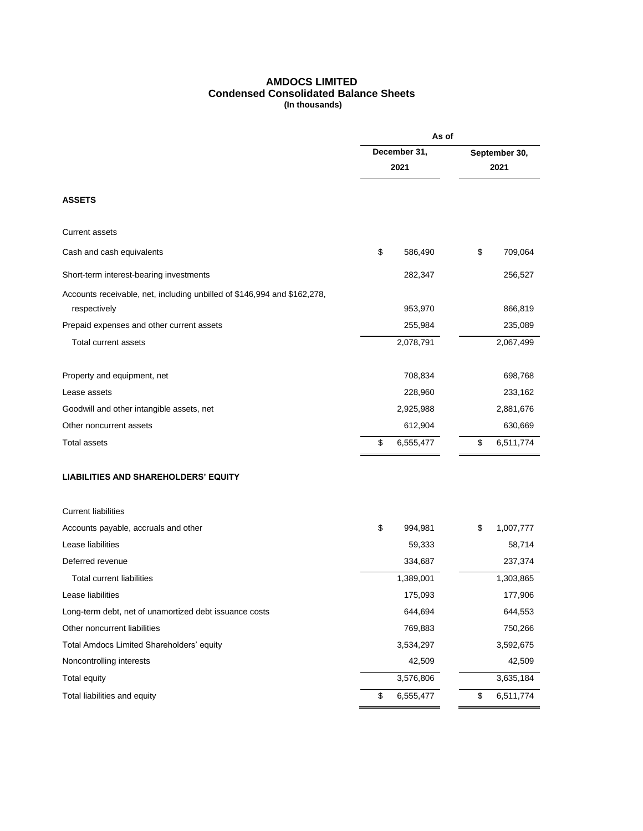### **AMDOCS LIMITED Condensed Consolidated Balance Sheets (In thousands)**

|                                                                                          | December 31,    |               |           |  |  |
|------------------------------------------------------------------------------------------|-----------------|---------------|-----------|--|--|
|                                                                                          |                 | September 30, |           |  |  |
|                                                                                          | 2021            |               | 2021      |  |  |
| <b>ASSETS</b>                                                                            |                 |               |           |  |  |
| Current assets                                                                           |                 |               |           |  |  |
| Cash and cash equivalents                                                                | \$<br>586,490   | \$            | 709,064   |  |  |
| Short-term interest-bearing investments                                                  | 282,347         |               | 256,527   |  |  |
| Accounts receivable, net, including unbilled of \$146,994 and \$162,278,<br>respectively | 953,970         |               | 866,819   |  |  |
| Prepaid expenses and other current assets                                                | 255,984         |               | 235,089   |  |  |
| Total current assets                                                                     | 2,078,791       |               | 2,067,499 |  |  |
| Property and equipment, net                                                              | 708,834         |               | 698,768   |  |  |
| Lease assets                                                                             | 228,960         |               | 233,162   |  |  |
| Goodwill and other intangible assets, net                                                | 2,925,988       |               | 2,881,676 |  |  |
| Other noncurrent assets                                                                  | 612,904         |               | 630,669   |  |  |
| Total assets                                                                             | \$<br>6,555,477 | \$            | 6,511,774 |  |  |
| <b>LIABILITIES AND SHAREHOLDERS' EQUITY</b>                                              |                 |               |           |  |  |
| <b>Current liabilities</b>                                                               |                 |               |           |  |  |
| Accounts payable, accruals and other                                                     | \$<br>994,981   | \$            | 1,007,777 |  |  |
| Lease liabilities                                                                        | 59,333          |               | 58,714    |  |  |
| Deferred revenue                                                                         | 334,687         |               | 237,374   |  |  |
| <b>Total current liabilities</b>                                                         | 1,389,001       |               | 1,303,865 |  |  |
| Lease liabilities                                                                        | 175,093         |               | 177,906   |  |  |
| Long-term debt, net of unamortized debt issuance costs                                   | 644,694         |               | 644,553   |  |  |
| Other noncurrent liabilities                                                             | 769,883         |               | 750,266   |  |  |
| Total Amdocs Limited Shareholders' equity                                                | 3,534,297       |               | 3,592,675 |  |  |
| Noncontrolling interests                                                                 | 42,509          |               | 42,509    |  |  |
| <b>Total equity</b>                                                                      | 3,576,806       |               | 3,635,184 |  |  |
| Total liabilities and equity                                                             | \$<br>6,555,477 | \$            | 6,511,774 |  |  |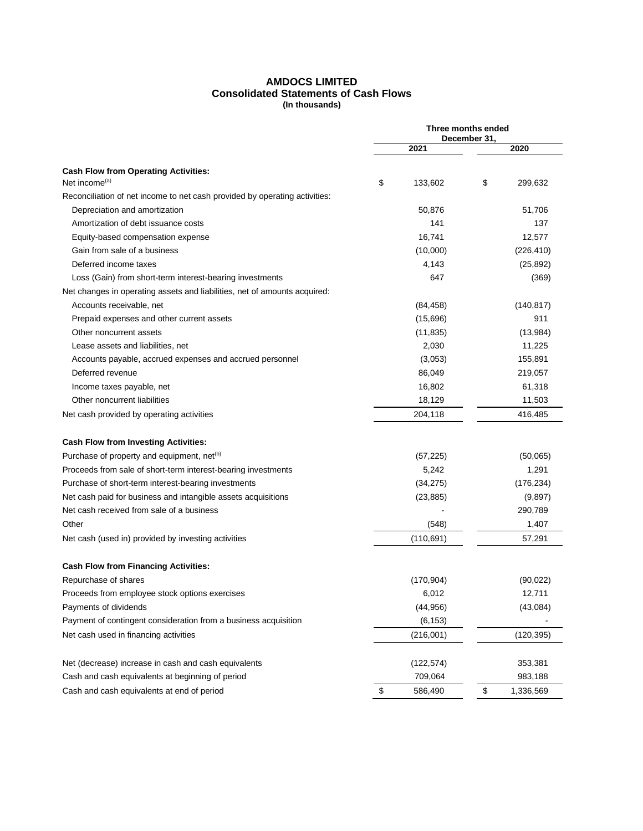### **AMDOCS LIMITED Consolidated Statements of Cash Flows (In thousands)**

|                                                                            |               | Three months ended   |
|----------------------------------------------------------------------------|---------------|----------------------|
|                                                                            | 2021          | December 31,<br>2020 |
| <b>Cash Flow from Operating Activities:</b>                                |               |                      |
| Net income <sup>(a)</sup>                                                  | \$<br>133,602 | \$<br>299,632        |
| Reconciliation of net income to net cash provided by operating activities: |               |                      |
| Depreciation and amortization                                              | 50,876        | 51,706               |
| Amortization of debt issuance costs                                        | 141           | 137                  |
| Equity-based compensation expense                                          | 16,741        | 12,577               |
| Gain from sale of a business                                               | (10,000)      | (226, 410)           |
| Deferred income taxes                                                      | 4,143         | (25, 892)            |
| Loss (Gain) from short-term interest-bearing investments                   | 647           | (369)                |
| Net changes in operating assets and liabilities, net of amounts acquired:  |               |                      |
| Accounts receivable, net                                                   | (84, 458)     | (140, 817)           |
| Prepaid expenses and other current assets                                  | (15,696)      | 911                  |
| Other noncurrent assets                                                    | (11, 835)     | (13,984)             |
| Lease assets and liabilities, net                                          | 2,030         | 11,225               |
| Accounts payable, accrued expenses and accrued personnel                   | (3,053)       | 155,891              |
| Deferred revenue                                                           | 86,049        | 219,057              |
| Income taxes payable, net                                                  | 16,802        | 61,318               |
| Other noncurrent liabilities                                               | 18,129        | 11,503               |
| Net cash provided by operating activities                                  | 204,118       | 416,485              |
| <b>Cash Flow from Investing Activities:</b>                                |               |                      |
| Purchase of property and equipment, net <sup>(b)</sup>                     | (57, 225)     | (50,065)             |
| Proceeds from sale of short-term interest-bearing investments              | 5,242         | 1,291                |
| Purchase of short-term interest-bearing investments                        | (34, 275)     | (176, 234)           |
| Net cash paid for business and intangible assets acquisitions              | (23, 885)     | (9,897)              |
| Net cash received from sale of a business                                  |               | 290,789              |
| Other                                                                      | (548)         | 1,407                |
| Net cash (used in) provided by investing activities                        | (110, 691)    | 57,291               |
| <b>Cash Flow from Financing Activities:</b>                                |               |                      |
| Repurchase of shares                                                       | (170, 904)    | (90, 022)            |
| Proceeds from employee stock options exercises                             | 6,012         | 12,711               |
| Payments of dividends                                                      | (44, 956)     | (43,084)             |
| Payment of contingent consideration from a business acquisition            | (6, 153)      |                      |
| Net cash used in financing activities                                      | (216,001)     | (120, 395)           |
|                                                                            |               |                      |
| Net (decrease) increase in cash and cash equivalents                       | (122, 574)    | 353,381              |
| Cash and cash equivalents at beginning of period                           | 709,064       | 983,188              |
| Cash and cash equivalents at end of period                                 | \$<br>586,490 | \$<br>1,336,569      |